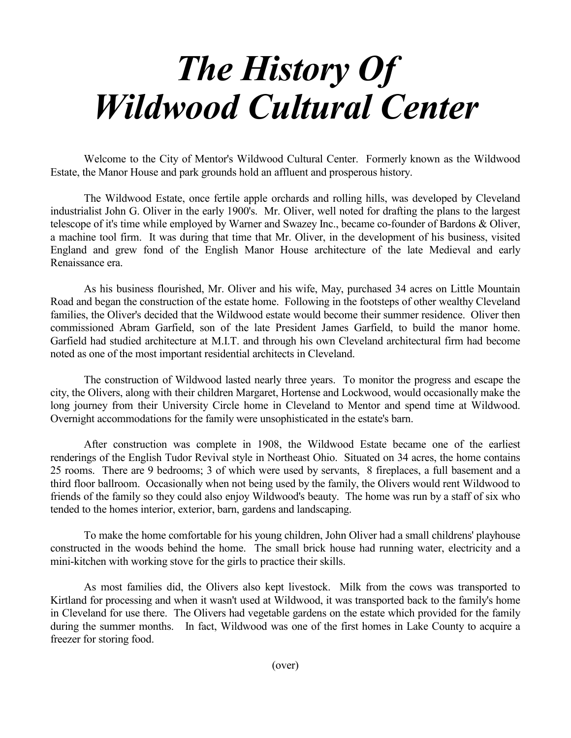## *The History Of Wildwood Cultural Center*

 Welcome to the City of Mentor's Wildwood Cultural Center. Formerly known as the Wildwood Estate, the Manor House and park grounds hold an affluent and prosperous history.

 The Wildwood Estate, once fertile apple orchards and rolling hills, was developed by Cleveland industrialist John G. Oliver in the early 1900's. Mr. Oliver, well noted for drafting the plans to the largest telescope of it's time while employed by Warner and Swazey Inc., became co-founder of Bardons & Oliver, a machine tool firm. It was during that time that Mr. Oliver, in the development of his business, visited England and grew fond of the English Manor House architecture of the late Medieval and early Renaissance era.

 As his business flourished, Mr. Oliver and his wife, May, purchased 34 acres on Little Mountain Road and began the construction of the estate home. Following in the footsteps of other wealthy Cleveland families, the Oliver's decided that the Wildwood estate would become their summer residence. Oliver then commissioned Abram Garfield, son of the late President James Garfield, to build the manor home. Garfield had studied architecture at M.I.T. and through his own Cleveland architectural firm had become noted as one of the most important residential architects in Cleveland.

 The construction of Wildwood lasted nearly three years. To monitor the progress and escape the city, the Olivers, along with their children Margaret, Hortense and Lockwood, would occasionally make the long journey from their University Circle home in Cleveland to Mentor and spend time at Wildwood. Overnight accommodations for the family were unsophisticated in the estate's barn.

 After construction was complete in 1908, the Wildwood Estate became one of the earliest renderings of the English Tudor Revival style in Northeast Ohio. Situated on 34 acres, the home contains 25 rooms. There are 9 bedrooms; 3 of which were used by servants, 8 fireplaces, a full basement and a third floor ballroom. Occasionally when not being used by the family, the Olivers would rent Wildwood to friends of the family so they could also enjoy Wildwood's beauty. The home was run by a staff of six who tended to the homes interior, exterior, barn, gardens and landscaping.

 To make the home comfortable for his young children, John Oliver had a small childrens' playhouse constructed in the woods behind the home. The small brick house had running water, electricity and a mini-kitchen with working stove for the girls to practice their skills.

 As most families did, the Olivers also kept livestock. Milk from the cows was transported to Kirtland for processing and when it wasn't used at Wildwood, it was transported back to the family's home in Cleveland for use there. The Olivers had vegetable gardens on the estate which provided for the family during the summer months. In fact, Wildwood was one of the first homes in Lake County to acquire a freezer for storing food.